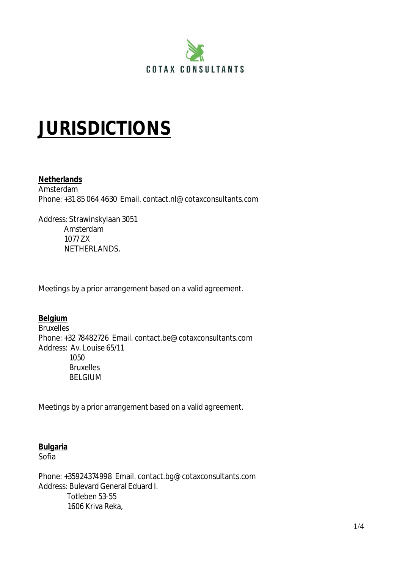

# **JURISDICTIONS**

#### **Netherlands**

Amsterdam Phone: +31 85 064 4630 Email. contact.nl@cotaxconsultants.com

Address: Strawinskylaan 3051 Amsterdam 1077 ZX NETHERLANDS.

Meetings by a prior arrangement based on a valid agreement.

## **Belgium**

**Bruxelles** Phone: +32 78482726 Email. contact.be@cotaxconsultants.com Address: Av. Louise 65/11 1050 Bruxelles BELGIUM

Meetings by a prior arrangement based on a valid agreement.

#### **Bulgaria**

Sofia

Phone: +35924374998 Email. contact.bg@cotaxconsultants.com Address: Bulevard General Eduard I. Totleben 53-55 1606 Kriva Reka,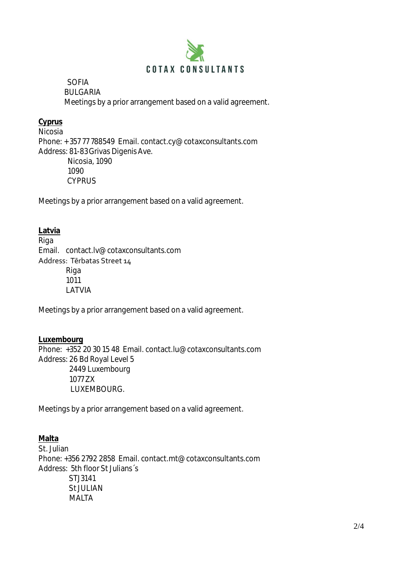

 SOFIA BULGARIA Meetings by a prior arrangement based on a valid agreement.

## **Cyprus**

Nicosia Phone: + 357 77 788549 Email. contact.cy@cotaxconsultants.com Address: 81-83 Grivas Digenis Ave. Nicosia, 1090 1090 **CYPRUS** 

Meetings by a prior arrangement based on a valid agreement.

## **Latvia**

Riga Email. contact.lv@cotaxconsultants.com Address: Tērbatas Street 14 Riga 1011 LATVIA

Meetings by a prior arrangement based on a valid agreement.

## **Luxembourg**

Phone: +352 20 30 15 48 Email. contact.lu@cotaxconsultants.com Address: 26 Bd Royal Level 5 2449 Luxembourg 1077 ZX LUXEMBOURG.

Meetings by a prior arrangement based on a valid agreement.

# **Malta**

St. Julian Phone: +356 2792 2858 Email. contact.mt@cotaxconsultants.com Address: 5th floor St Julians´s STJ3141 St JULIAN MALTA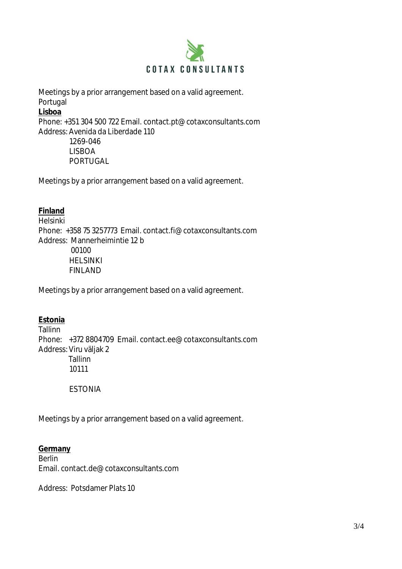

Meetings by a prior arrangement based on a valid agreement. Portugal **Lisboa**

Phone: +351 304 500 722 Email. contact.pt@cotaxconsultants.com Address: Avenida da Liberdade 110

> 1269-046 LISBOA PORTUGAL

Meetings by a prior arrangement based on a valid agreement.

## **Finland**

Helsinki Phone: +358 75 3257773 Email. contact.fi@cotaxconsultants.com Address: Mannerheimintie 12 b 00100 HELSINKI FINLAND

Meetings by a prior arrangement based on a valid agreement.

# **Estonia**

Tallinn Phone: +372 8804709 Email. contact.ee@cotaxconsultants.com Address: Viru väljak 2 Tallinn 10111

#### **ESTONIA**

Meetings by a prior arrangement based on a valid agreement.

#### **Germany**

Berlin Email. contact.de@cotaxconsultants.com

Address: Potsdamer Plats 10